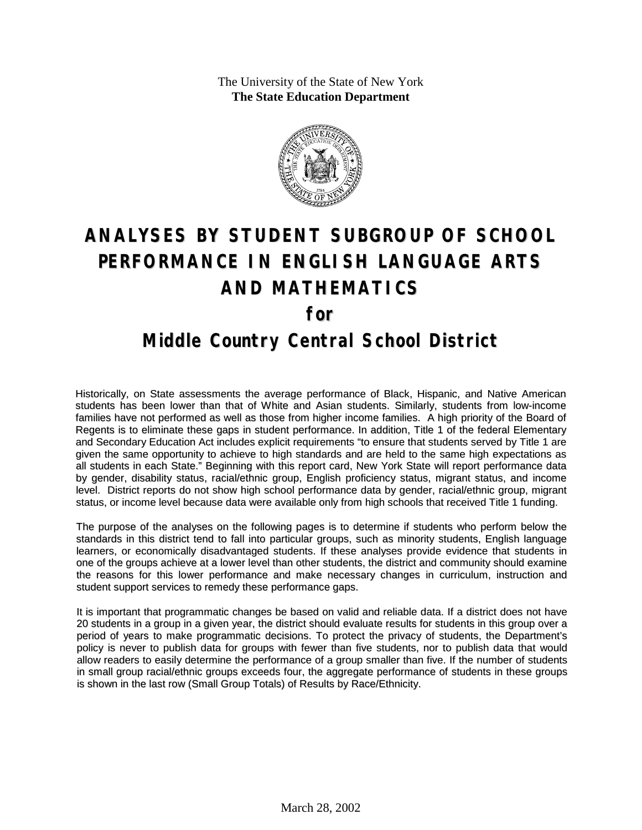The University of the State of New York **The State Education Department**



# **ANALYSES BY STUDENT SUBGROUP OF SCHOOL PERFORMANCE IN ENGLISH LANGUAGE ARTS AND MATHEMATICS for Middle Country Central School District**

Historically, on State assessments the average performance of Black, Hispanic, and Native American students has been lower than that of White and Asian students. Similarly, students from low-income families have not performed as well as those from higher income families. A high priority of the Board of Regents is to eliminate these gaps in student performance. In addition, Title 1 of the federal Elementary and Secondary Education Act includes explicit requirements "to ensure that students served by Title 1 are given the same opportunity to achieve to high standards and are held to the same high expectations as all students in each State." Beginning with this report card, New York State will report performance data by gender, disability status, racial/ethnic group, English proficiency status, migrant status, and income level. District reports do not show high school performance data by gender, racial/ethnic group, migrant status, or income level because data were available only from high schools that received Title 1 funding.

The purpose of the analyses on the following pages is to determine if students who perform below the standards in this district tend to fall into particular groups, such as minority students, English language learners, or economically disadvantaged students. If these analyses provide evidence that students in one of the groups achieve at a lower level than other students, the district and community should examine the reasons for this lower performance and make necessary changes in curriculum, instruction and student support services to remedy these performance gaps.

It is important that programmatic changes be based on valid and reliable data. If a district does not have 20 students in a group in a given year, the district should evaluate results for students in this group over a period of years to make programmatic decisions. To protect the privacy of students, the Department's policy is never to publish data for groups with fewer than five students, nor to publish data that would allow readers to easily determine the performance of a group smaller than five. If the number of students in small group racial/ethnic groups exceeds four, the aggregate performance of students in these groups is shown in the last row (Small Group Totals) of Results by Race/Ethnicity.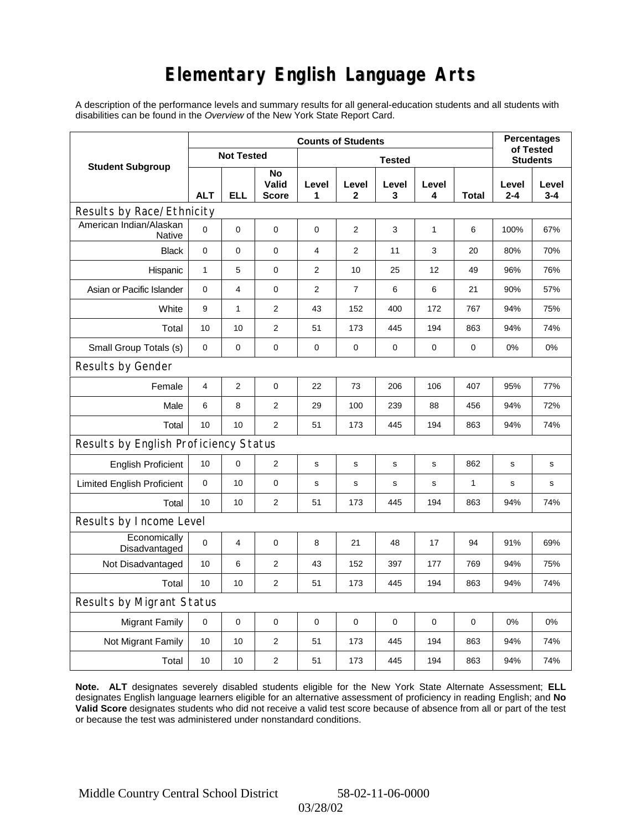# **Elementary English Language Arts**

A description of the performance levels and summary results for all general-education students and all students with disabilities can be found in the *Overview* of the New York State Report Card.

|                                       | <b>Counts of Students</b> |                   |                      |                |                |                 |              |              |              | <b>Percentages</b><br>of Tested |  |
|---------------------------------------|---------------------------|-------------------|----------------------|----------------|----------------|-----------------|--------------|--------------|--------------|---------------------------------|--|
| <b>Student Subgroup</b>               |                           | <b>Not Tested</b> |                      |                |                | <b>Students</b> |              |              |              |                                 |  |
|                                       | <b>ALT</b>                | ELL               | No<br>Valid<br>Score | Level<br>1     | Level<br>2     | Level<br>3      | Level<br>4   | Total        | Level<br>2-4 | Level<br>$3 - 4$                |  |
| Results by Race/Ethnicity             |                           |                   |                      |                |                |                 |              |              |              |                                 |  |
| American Indian/Alaskan<br>Native     | $\Omega$                  | $\mathbf 0$       | $\mathbf 0$          | $\mathbf 0$    | 2              | 3               | $\mathbf{1}$ | 6            | 100%         | 67%                             |  |
| <b>Black</b>                          | $\mathbf 0$               | $\mathbf 0$       | $\mathbf 0$          | $\overline{4}$ | $\overline{2}$ | 11              | 3            | 20           | 80%          | 70%                             |  |
| Hispanic                              | $\mathbf{1}$              | 5                 | $\mathbf 0$          | $\overline{2}$ | 10             | 25              | 12           | 49           | 96%          | 76%                             |  |
| Asian or Pacific Islander             | 0                         | 4                 | 0                    | $\overline{2}$ | $\overline{7}$ | 6               | 6            | 21           | 90%          | 57%                             |  |
| White                                 | 9                         | $\mathbf{1}$      | $\overline{2}$       | 43             | 152            | 400             | 172          | 767          | 94%          | 75%                             |  |
| Total                                 | 10                        | 10                | $\mathbf{2}$         | 51             | 173            | 445             | 194          | 863          | 94%          | 74%                             |  |
| Small Group Totals (s)                | 0                         | 0                 | 0                    | 0              | $\pmb{0}$      | 0               | 0            | 0            | 0%           | 0%                              |  |
| Results by Gender                     |                           |                   |                      |                |                |                 |              |              |              |                                 |  |
| Female                                | $\overline{4}$            | 2                 | $\pmb{0}$            | 22             | 73             | 206             | 106          | 407          | 95%          | 77%                             |  |
| Male                                  | 6                         | 8                 | $\mathbf{2}$         | 29             | 100            | 239             | 88           | 456          | 94%          | 72%                             |  |
| Total                                 | 10                        | 10                | 2                    | 51             | 173            | 445             | 194          | 863          | 94%          | 74%                             |  |
| Results by English Proficiency Status |                           |                   |                      |                |                |                 |              |              |              |                                 |  |
| <b>English Proficient</b>             | 10                        | 0                 | $\overline{2}$       | $\mathbf s$    | S              | s               | s            | 862          | s            | $\mathbf s$                     |  |
| <b>Limited English Proficient</b>     | $\mathbf 0$               | 10                | $\pmb{0}$            | $\mathbf s$    | $\mathsf{s}$   | $\mathbf s$     | s            | $\mathbf{1}$ | s            | s                               |  |
| Total                                 | 10                        | 10                | 2                    | 51             | 173            | 445             | 194          | 863          | 94%          | 74%                             |  |
| Results by Income Level               |                           |                   |                      |                |                |                 |              |              |              |                                 |  |
| Economically<br>Disadvantaged         | 0                         | 4                 | $\mathbf 0$          | 8              | 21             | 48              | 17           | 94           | 91%          | 69%                             |  |
| Not Disadvantaged                     | 10                        | 6                 | 2                    | 43             | 152            | 397             | 177          | 769          | 94%          | 75%                             |  |
| Total                                 | 10                        | 10                | $\mathbf{2}$         | 51             | 173            | 445             | 194          | 863          | 94%          | 74%                             |  |
| Results by Migrant Status             |                           |                   |                      |                |                |                 |              |              |              |                                 |  |
| <b>Migrant Family</b>                 | 0                         | 0                 | 0                    | $\mathbf 0$    | 0              | 0               | $\mathbf 0$  | 0            | 0%           | 0%                              |  |
| Not Migrant Family                    | 10                        | 10                | 2                    | 51             | 173            | 445             | 194          | 863          | 94%          | 74%                             |  |
| Total                                 | 10                        | 10                | $\overline{c}$       | 51             | 173            | 445             | 194          | 863          | 94%          | 74%                             |  |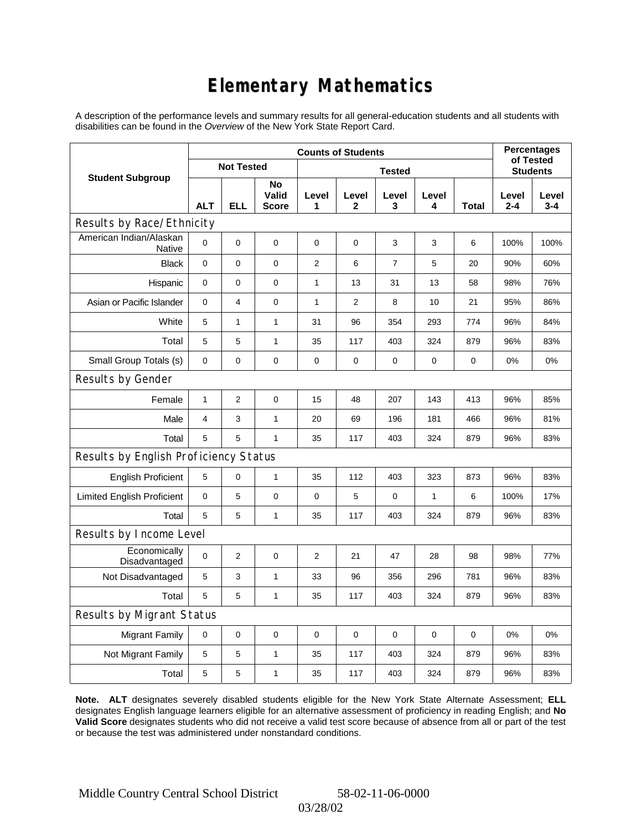# **Elementary Mathematics**

A description of the performance levels and summary results for all general-education students and all students with disabilities can be found in the *Overview* of the New York State Report Card.

|                                          | <b>Counts of Students</b> |                   |                             |                |             |                |            |              | <b>Percentages</b><br>of Tested |                  |
|------------------------------------------|---------------------------|-------------------|-----------------------------|----------------|-------------|----------------|------------|--------------|---------------------------------|------------------|
| <b>Student Subgroup</b>                  |                           | <b>Not Tested</b> |                             | <b>Tested</b>  |             |                |            |              | <b>Students</b>                 |                  |
|                                          | <b>ALT</b>                | <b>ELL</b>        | No<br>Valid<br><b>Score</b> | Level<br>1     | Level<br>2  | Level<br>3     | Level<br>4 | <b>Total</b> | Level<br>$2 - 4$                | Level<br>$3 - 4$ |
| Results by Race/Ethnicity                |                           |                   |                             |                |             |                |            |              |                                 |                  |
| American Indian/Alaskan<br><b>Native</b> | 0                         | $\mathbf 0$       | $\pmb{0}$                   | 0              | $\mathbf 0$ | 3              | 3          | 6            | 100%                            | 100%             |
| <b>Black</b>                             | 0                         | $\overline{0}$    | $\mathbf 0$                 | $\overline{2}$ | 6           | $\overline{7}$ | 5          | 20           | 90%                             | 60%              |
| Hispanic                                 | 0                         | 0                 | $\pmb{0}$                   | 1              | 13          | 31             | 13         | 58           | 98%                             | 76%              |
| Asian or Pacific Islander                | 0                         | 4                 | 0                           | 1              | 2           | 8              | 10         | 21           | 95%                             | 86%              |
| White                                    | 5                         | $\mathbf{1}$      | $\mathbf{1}$                | 31             | 96          | 354            | 293        | 774          | 96%                             | 84%              |
| Total                                    | 5                         | 5                 | $\mathbf{1}$                | 35             | 117         | 403            | 324        | 879          | 96%                             | 83%              |
| Small Group Totals (s)                   | 0                         | 0                 | 0                           | 0              | 0           | 0              | 0          | 0            | 0%                              | 0%               |
| Results by Gender                        |                           |                   |                             |                |             |                |            |              |                                 |                  |
| Female                                   | $\mathbf{1}$              | $\overline{2}$    | $\pmb{0}$                   | 15             | 48          | 207            | 143        | 413          | 96%                             | 85%              |
| Male                                     | 4                         | 3                 | $\mathbf{1}$                | 20             | 69          | 196            | 181        | 466          | 96%                             | 81%              |
| Total                                    | 5                         | 5                 | $\mathbf{1}$                | 35             | 117         | 403            | 324        | 879          | 96%                             | 83%              |
| Results by English Proficiency Status    |                           |                   |                             |                |             |                |            |              |                                 |                  |
| <b>English Proficient</b>                | $\mathbf 5$               | 0                 | $\mathbf{1}$                | 35             | 112         | 403            | 323        | 873          | 96%                             | 83%              |
| <b>Limited English Proficient</b>        | 0                         | 5                 | $\pmb{0}$                   | $\pmb{0}$      | 5           | 0              | 1          | 6            | 100%                            | 17%              |
| Total                                    | 5                         | 5                 | $\mathbf{1}$                | 35             | 117         | 403            | 324        | 879          | 96%                             | 83%              |
| Results by Income Level                  |                           |                   |                             |                |             |                |            |              |                                 |                  |
| Economically<br>Disadvantaged            | 0                         | $\overline{2}$    | $\mathbf 0$                 | $\overline{2}$ | 21          | 47             | 28         | 98           | 98%                             | 77%              |
| Not Disadvantaged                        | 5                         | 3                 | $\mathbf{1}$                | 33             | 96          | 356            | 296        | 781          | 96%                             | 83%              |
| Total                                    | 5                         | 5                 | $\mathbf{1}$                | 35             | 117         | 403            | 324        | 879          | 96%                             | 83%              |
| Results by Migrant Status                |                           |                   |                             |                |             |                |            |              |                                 |                  |
| <b>Migrant Family</b>                    | $\mathbf 0$               | 0                 | $\pmb{0}$                   | $\pmb{0}$      | $\mathbf 0$ | 0              | 0          | 0            | 0%                              | 0%               |
| Not Migrant Family                       | 5                         | 5                 | $\mathbf{1}$                | 35             | 117         | 403            | 324        | 879          | 96%                             | 83%              |
| Total                                    | 5                         | 5                 | 1                           | 35             | 117         | 403            | 324        | 879          | 96%                             | 83%              |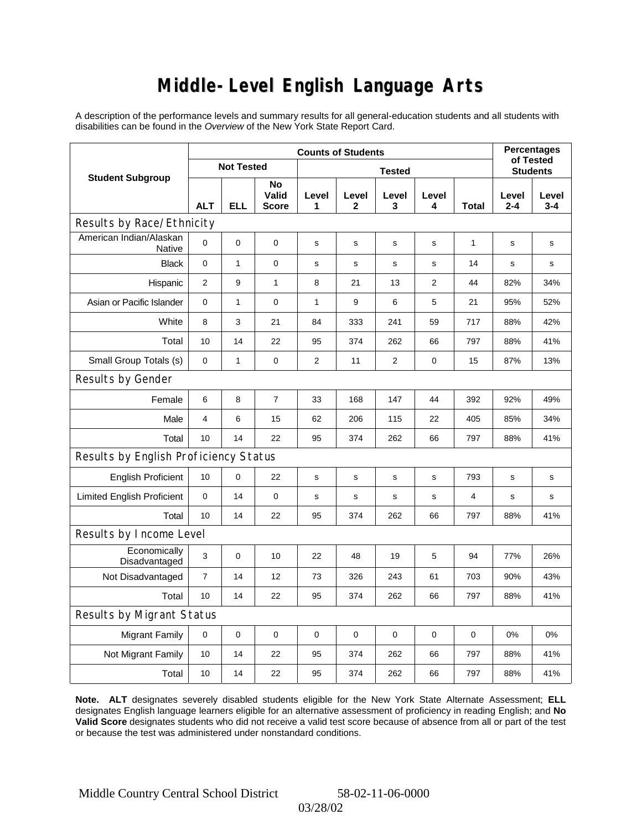### **Middle-Level English Language Arts**

A description of the performance levels and summary results for all general-education students and all students with disabilities can be found in the *Overview* of the New York State Report Card.

|                                          | <b>Counts of Students</b> |                   | <b>Percentages</b><br>of Tested |                |                |            |                |              |                  |                  |
|------------------------------------------|---------------------------|-------------------|---------------------------------|----------------|----------------|------------|----------------|--------------|------------------|------------------|
| <b>Student Subgroup</b>                  |                           | <b>Not Tested</b> |                                 | <b>Tested</b>  |                |            |                |              | <b>Students</b>  |                  |
|                                          | <b>ALT</b>                | <b>ELL</b>        | No<br>Valid<br><b>Score</b>     | Level<br>1     | Level<br>2     | Level<br>3 | Level<br>4     | <b>Total</b> | Level<br>$2 - 4$ | Level<br>$3 - 4$ |
| Results by Race/Ethnicity                |                           |                   |                                 |                |                |            |                |              |                  |                  |
| American Indian/Alaskan<br><b>Native</b> | 0                         | $\mathbf 0$       | $\mathbf 0$                     | s              | s              | s          | s              | 1            | s                | s                |
| <b>Black</b>                             | 0                         | $\mathbf{1}$      | $\pmb{0}$                       | $\mathbf s$    | $\mathbf s$    | s          | s              | 14           | s                | s                |
| Hispanic                                 | $\overline{2}$            | 9                 | $\mathbf{1}$                    | 8              | 21             | 13         | $\overline{2}$ | 44           | 82%              | 34%              |
| Asian or Pacific Islander                | 0                         | $\mathbf{1}$      | $\mathbf 0$                     | 1              | 9              | 6          | 5              | 21           | 95%              | 52%              |
| White                                    | 8                         | 3                 | 21                              | 84             | 333            | 241        | 59             | 717          | 88%              | 42%              |
| Total                                    | 10                        | 14                | 22                              | 95             | 374            | 262        | 66             | 797          | 88%              | 41%              |
| Small Group Totals (s)                   | 0                         | $\mathbf{1}$      | $\mathbf 0$                     | $\overline{2}$ | 11             | 2          | 0              | 15           | 87%              | 13%              |
| Results by Gender                        |                           |                   |                                 |                |                |            |                |              |                  |                  |
| Female                                   | 6                         | 8                 | $\overline{7}$                  | 33             | 168            | 147        | 44             | 392          | 92%              | 49%              |
| Male                                     | $\overline{4}$            | 6                 | 15                              | 62             | 206            | 115        | 22             | 405          | 85%              | 34%              |
| Total                                    | 10                        | 14                | 22                              | 95             | 374            | 262        | 66             | 797          | 88%              | 41%              |
| Results by English Proficiency Status    |                           |                   |                                 |                |                |            |                |              |                  |                  |
| <b>English Proficient</b>                | 10                        | 0                 | 22                              | $\mathbf s$    | S              | s          | s              | 793          | s                | $\mathbf s$      |
| <b>Limited English Proficient</b>        | 0                         | 14                | $\mathbf 0$                     | s              | ${\tt S}$      | s          | s              | 4            | s                | s                |
| Total                                    | 10                        | 14                | 22                              | 95             | 374            | 262        | 66             | 797          | 88%              | 41%              |
| Results by Income Level                  |                           |                   |                                 |                |                |            |                |              |                  |                  |
| Economically<br>Disadvantaged            | 3                         | $\mathsf 0$       | 10                              | 22             | 48             | 19         | 5              | 94           | 77%              | 26%              |
| Not Disadvantaged                        | $\overline{7}$            | 14                | 12                              | 73             | 326            | 243        | 61             | 703          | 90%              | 43%              |
| Total                                    | 10                        | 14                | 22                              | 95             | 374            | 262        | 66             | 797          | 88%              | 41%              |
| Results by Migrant Status                |                           |                   |                                 |                |                |            |                |              |                  |                  |
| <b>Migrant Family</b>                    | $\pmb{0}$                 | 0                 | $\pmb{0}$                       | 0              | $\overline{0}$ | 0          | 0              | $\mathbf 0$  | 0%               | 0%               |
| Not Migrant Family                       | 10                        | 14                | 22                              | 95             | 374            | 262        | 66             | 797          | 88%              | 41%              |
| Total                                    | 10                        | 14                | 22                              | 95             | 374            | 262        | 66             | 797          | 88%              | 41%              |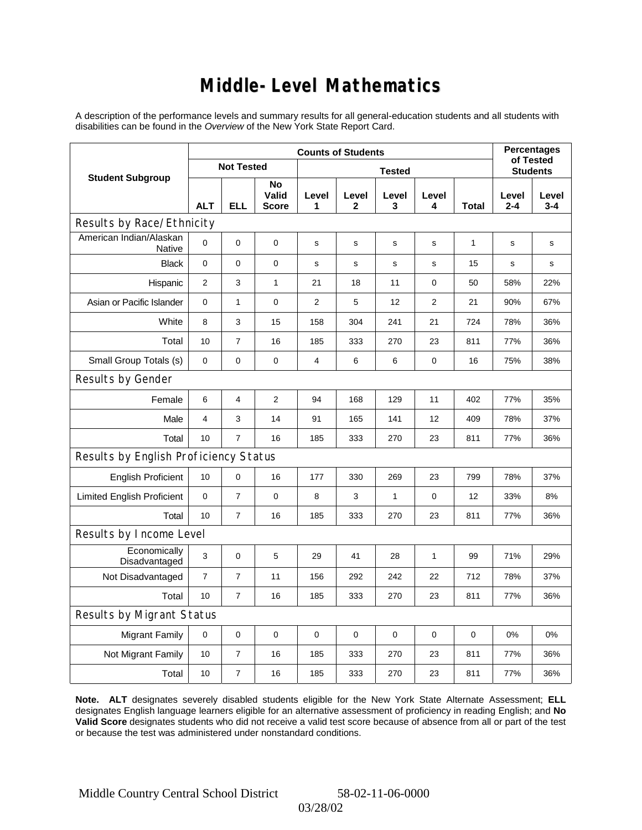### **Middle-Level Mathematics**

A description of the performance levels and summary results for all general-education students and all students with disabilities can be found in the *Overview* of the New York State Report Card.

| <b>Counts of Students</b>             |                |                   |                             |                |                       |              |                |       | <b>Percentages</b><br>of Tested |                  |  |
|---------------------------------------|----------------|-------------------|-----------------------------|----------------|-----------------------|--------------|----------------|-------|---------------------------------|------------------|--|
| <b>Student Subgroup</b>               |                | <b>Not Tested</b> |                             | <b>Tested</b>  |                       |              |                |       | <b>Students</b>                 |                  |  |
|                                       | <b>ALT</b>     | <b>ELL</b>        | No<br>Valid<br><b>Score</b> | Level<br>1     | Level<br>$\mathbf{2}$ | Level<br>3   | Level<br>4     | Total | Level<br>$2 - 4$                | Level<br>$3 - 4$ |  |
| Results by Race/Ethnicity             |                |                   |                             |                |                       |              |                |       |                                 |                  |  |
| American Indian/Alaskan<br>Native     | 0              | $\mathbf 0$       | $\mathbf 0$                 | s              | S                     | s            | s              | 1     | $\mathbf s$                     | s                |  |
| <b>Black</b>                          | 0              | 0                 | $\pmb{0}$                   | s              | $\mathbf s$           | s            | $\mathbf s$    | 15    | s                               | s                |  |
| Hispanic                              | $\overline{2}$ | 3                 | $\mathbf{1}$                | 21             | 18                    | 11           | 0              | 50    | 58%                             | 22%              |  |
| Asian or Pacific Islander             | 0              | $\mathbf{1}$      | $\pmb{0}$                   | $\overline{2}$ | 5                     | 12           | $\overline{2}$ | 21    | 90%                             | 67%              |  |
| White                                 | 8              | 3                 | 15                          | 158            | 304                   | 241          | 21             | 724   | 78%                             | 36%              |  |
| Total                                 | 10             | $\overline{7}$    | 16                          | 185            | 333                   | 270          | 23             | 811   | 77%                             | 36%              |  |
| Small Group Totals (s)                | $\mathbf 0$    | 0                 | $\mathbf 0$                 | 4              | 6                     | 6            | 0              | 16    | 75%                             | 38%              |  |
| Results by Gender                     |                |                   |                             |                |                       |              |                |       |                                 |                  |  |
| Female                                | 6              | 4                 | $\overline{2}$              | 94             | 168                   | 129          | 11             | 402   | 77%                             | 35%              |  |
| Male                                  | 4              | 3                 | 14                          | 91             | 165                   | 141          | 12             | 409   | 78%                             | 37%              |  |
| Total                                 | 10             | $\overline{7}$    | 16                          | 185            | 333                   | 270          | 23             | 811   | 77%                             | 36%              |  |
| Results by English Proficiency Status |                |                   |                             |                |                       |              |                |       |                                 |                  |  |
| <b>English Proficient</b>             | 10             | 0                 | 16                          | 177            | 330                   | 269          | 23             | 799   | 78%                             | 37%              |  |
| <b>Limited English Proficient</b>     | 0              | $\overline{7}$    | 0                           | 8              | 3                     | $\mathbf{1}$ | 0              | 12    | 33%                             | 8%               |  |
| Total                                 | 10             | $\overline{7}$    | 16                          | 185            | 333                   | 270          | 23             | 811   | 77%                             | 36%              |  |
| Results by Income Level               |                |                   |                             |                |                       |              |                |       |                                 |                  |  |
| Economically<br>Disadvantaged         | 3              | 0                 | 5                           | 29             | 41                    | 28           | $\mathbf{1}$   | 99    | 71%                             | 29%              |  |
| Not Disadvantaged                     | $\overline{7}$ | $\overline{7}$    | 11                          | 156            | 292                   | 242          | 22             | 712   | 78%                             | 37%              |  |
| Total                                 | 10             | $\overline{7}$    | 16                          | 185            | 333                   | 270          | 23             | 811   | 77%                             | 36%              |  |
| Results by Migrant Status             |                |                   |                             |                |                       |              |                |       |                                 |                  |  |
| <b>Migrant Family</b>                 | $\mathbf 0$    | 0                 | $\mathbf 0$                 | 0              | $\mathbf 0$           | 0            | 0              | 0     | 0%                              | 0%               |  |
| Not Migrant Family                    | 10             | $\overline{7}$    | 16                          | 185            | 333                   | 270          | 23             | 811   | 77%                             | 36%              |  |
| Total                                 | 10             | $\overline{7}$    | 16                          | 185            | 333                   | 270          | 23             | 811   | 77%                             | 36%              |  |